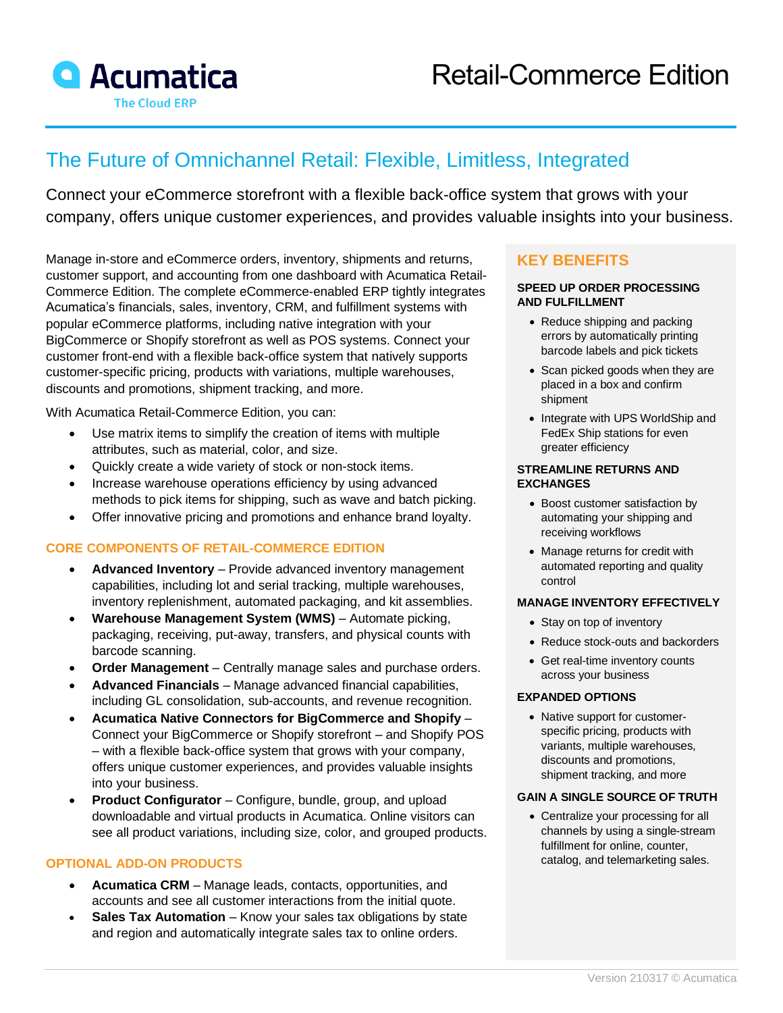

# The Future of Omnichannel Retail: Flexible, Limitless, Integrated

Connect your eCommerce storefront with a flexible back-office system that grows with your company, offers unique customer experiences, and provides valuable insights into your business.

Manage in-store and eCommerce orders, inventory, shipments and returns, customer support, and accounting from one dashboard with Acumatica Retail-Commerce Edition. The complete eCommerce-enabled ERP tightly integrates Acumatica's financials, sales, inventory, CRM, and fulfillment systems with popular eCommerce platforms, including native integration with your BigCommerce or Shopify storefront as well as POS systems. Connect your customer front-end with a flexible back-office system that natively supports customer-specific pricing, products with variations, multiple warehouses, discounts and promotions, shipment tracking, and more.

With Acumatica Retail-Commerce Edition, you can:

- Use matrix items to simplify the creation of items with multiple attributes, such as material, color, and size.
- Quickly create a wide variety of stock or non-stock items.
- Increase warehouse operations efficiency by using advanced methods to pick items for shipping, such as wave and batch picking.
- Offer innovative pricing and promotions and enhance brand loyalty.

## **CORE COMPONENTS OF RETAIL-COMMERCE EDITION**

- **Advanced Inventory**  Provide advanced inventory management capabilities, including lot and serial tracking, multiple warehouses, inventory replenishment, automated packaging, and kit assemblies.
- **Warehouse Management System (WMS)** Automate picking, packaging, receiving, put-away, transfers, and physical counts with barcode scanning.
- **Order Management**  Centrally manage sales and purchase orders.
- **Advanced Financials**  Manage advanced financial capabilities, including GL consolidation, sub-accounts, and revenue recognition.
- **Acumatica Native Connectors for BigCommerce and Shopify** Connect your BigCommerce or Shopify storefront – and Shopify POS – with a flexible back-office system that grows with your company, offers unique customer experiences, and provides valuable insights into your business.
- **Product Configurator**  Configure, bundle, group, and upload downloadable and virtual products in Acumatica. Online visitors can see all product variations, including size, color, and grouped products.

### **OPTIONAL ADD-ON PRODUCTS**

- **Acumatica CRM**  Manage leads, contacts, opportunities, and accounts and see all customer interactions from the initial quote.
- **Sales Tax Automation** Know your sales tax obligations by state and region and automatically integrate sales tax to online orders.

# **KEY BENEFITS**

#### **SPEED UP ORDER PROCESSING AND FULFILLMENT**

- Reduce shipping and packing errors by automatically printing barcode labels and pick tickets
- Scan picked goods when they are placed in a box and confirm shipment
- Integrate with UPS WorldShip and FedEx Ship stations for even greater efficiency

#### **STREAMLINE RETURNS AND EXCHANGES**

- Boost customer satisfaction by automating your shipping and receiving workflows
- Manage returns for credit with automated reporting and quality control

### **MANAGE INVENTORY EFFECTIVELY**

- Stay on top of inventory
- Reduce stock-outs and backorders
- Get real-time inventory counts across your business

#### **EXPANDED OPTIONS**

• Native support for customerspecific pricing, products with variants, multiple warehouses, discounts and promotions, shipment tracking, and more

## **GAIN A SINGLE SOURCE OF TRUTH**

• Centralize your processing for all channels by using a single-stream fulfillment for online, counter, catalog, and telemarketing sales.